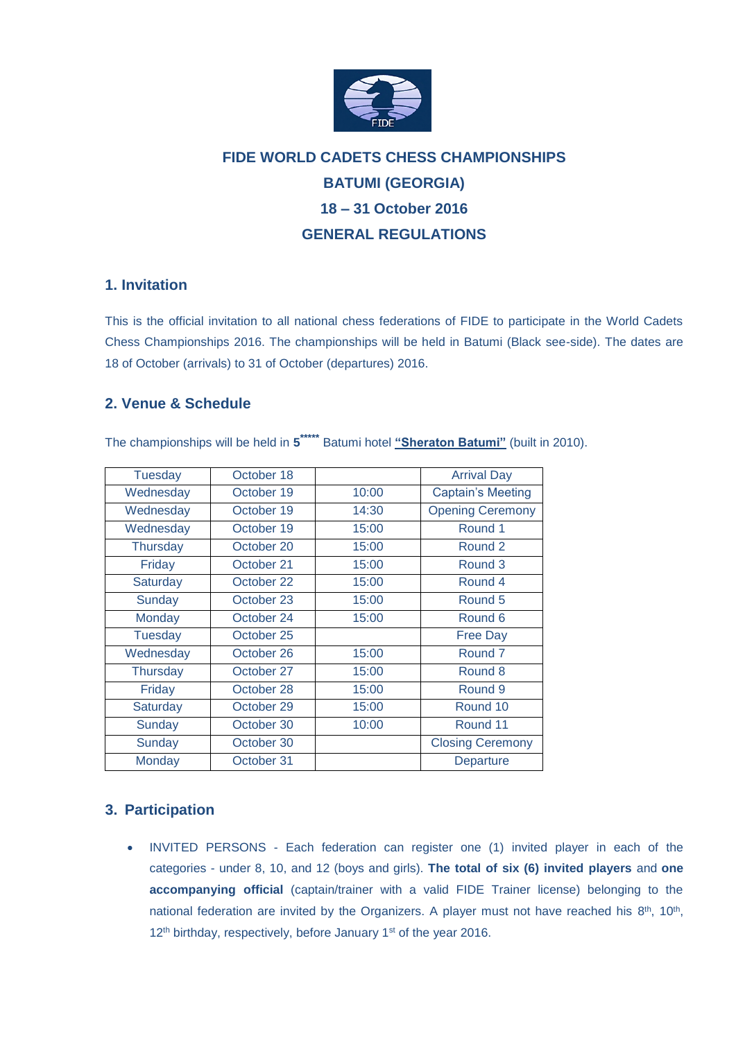

# **FIDE WORLD CADETS CHESS CHAMPIONSHIPS BATUMI (GEORGIA) 18 – 31 October 2016 GENERAL REGULATIONS**

# **1. Invitation**

This is the official invitation to all national chess federations of FIDE to participate in the World Cadets Chess Championships 2016. The championships will be held in Batumi (Black see-side). The dates are 18 of October (arrivals) to 31 of October (departures) 2016.

# **2. Venue & Schedule**

The championships will be held in **5 \*\*\*\*\*** Batumi hotel **"Sheraton Batumi"** (built in 2010).

| <b>Tuesday</b>  | October 18 |       | <b>Arrival Day</b>       |  |
|-----------------|------------|-------|--------------------------|--|
| Wednesday       | October 19 | 10:00 | <b>Captain's Meeting</b> |  |
| Wednesday       | October 19 | 14:30 | <b>Opening Ceremony</b>  |  |
| Wednesday       | October 19 | 15:00 | Round 1                  |  |
| <b>Thursday</b> | October 20 | 15:00 | Round 2                  |  |
| Friday          | October 21 | 15:00 | Round 3                  |  |
| Saturday        | October 22 | 15:00 | Round 4                  |  |
| Sunday          | October 23 | 15:00 | Round 5                  |  |
| Monday          | October 24 | 15:00 | Round 6                  |  |
| <b>Tuesday</b>  | October 25 |       | <b>Free Day</b>          |  |
| Wednesday       | October 26 | 15:00 | Round <sub>7</sub>       |  |
| Thursday        | October 27 | 15:00 | Round 8                  |  |
| Friday          | October 28 | 15:00 | Round 9                  |  |
| Saturday        | October 29 | 15:00 | Round 10                 |  |
| Sunday          | October 30 | 10:00 | Round 11                 |  |
| Sunday          | October 30 |       | <b>Closing Ceremony</b>  |  |
| Monday          | October 31 |       | Departure                |  |

# **3. Participation**

 INVITED PERSONS - Each federation can register one (1) invited player in each of the categories - under 8, 10, and 12 (boys and girls). **The total of six (6) invited players** and **one accompanying official** (captain/trainer with a valid FIDE Trainer license) belonging to the national federation are invited by the Organizers. A player must not have reached his  $8<sup>th</sup>$ , 10<sup>th</sup>, 12<sup>th</sup> birthday, respectively, before January 1<sup>st</sup> of the year 2016.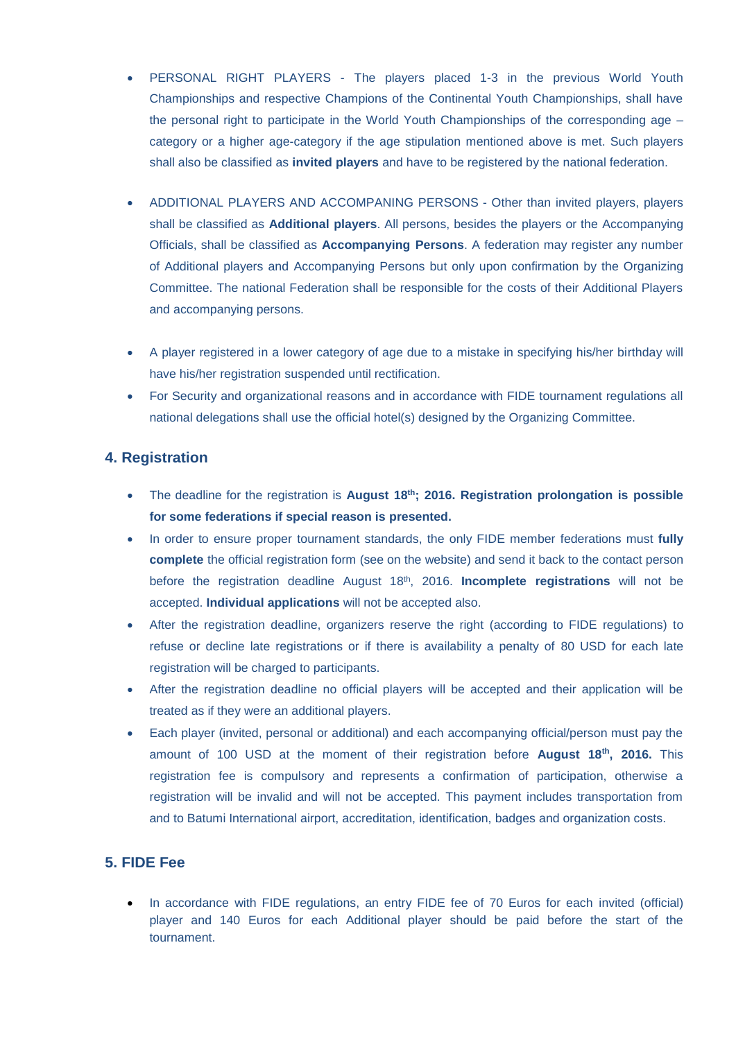- PERSONAL RIGHT PLAYERS The players placed 1-3 in the previous World Youth Championships and respective Champions of the Continental Youth Championships, shall have the personal right to participate in the World Youth Championships of the corresponding age – category or a higher age-category if the age stipulation mentioned above is met. Such players shall also be classified as **invited players** and have to be registered by the national federation.
- ADDITIONAL PLAYERS AND ACCOMPANING PERSONS Other than invited players, players shall be classified as **Additional players**. All persons, besides the players or the Accompanying Officials, shall be classified as **Accompanying Persons**. A federation may register any number of Additional players and Accompanying Persons but only upon confirmation by the Organizing Committee. The national Federation shall be responsible for the costs of their Additional Players and accompanying persons.
- A player registered in a lower category of age due to a mistake in specifying his/her birthday will have his/her registration suspended until rectification.
- For Security and organizational reasons and in accordance with FIDE tournament regulations all national delegations shall use the official hotel(s) designed by the Organizing Committee.

### **4. Registration**

- The deadline for the registration is **August 18th; 2016. Registration prolongation is possible for some federations if special reason is presented.**
- In order to ensure proper tournament standards, the only FIDE member federations must **fully complete** the official registration form (see on the website) and send it back to the contact person before the registration deadline August 18th, 2016. **Incomplete registrations** will not be accepted. **Individual applications** will not be accepted also.
- After the registration deadline, organizers reserve the right (according to FIDE regulations) to refuse or decline late registrations or if there is availability a penalty of 80 USD for each late registration will be charged to participants.
- After the registration deadline no official players will be accepted and their application will be treated as if they were an additional players.
- Each player (invited, personal or additional) and each accompanying official/person must pay the amount of 100 USD at the moment of their registration before **August 18th, 2016.** This registration fee is compulsory and represents a confirmation of participation, otherwise a registration will be invalid and will not be accepted. This payment includes transportation from and to Batumi International airport, accreditation, identification, badges and organization costs.

#### **5. FIDE Fee**

• In accordance with FIDE regulations, an entry FIDE fee of 70 Euros for each invited (official) player and 140 Euros for each Additional player should be paid before the start of the tournament.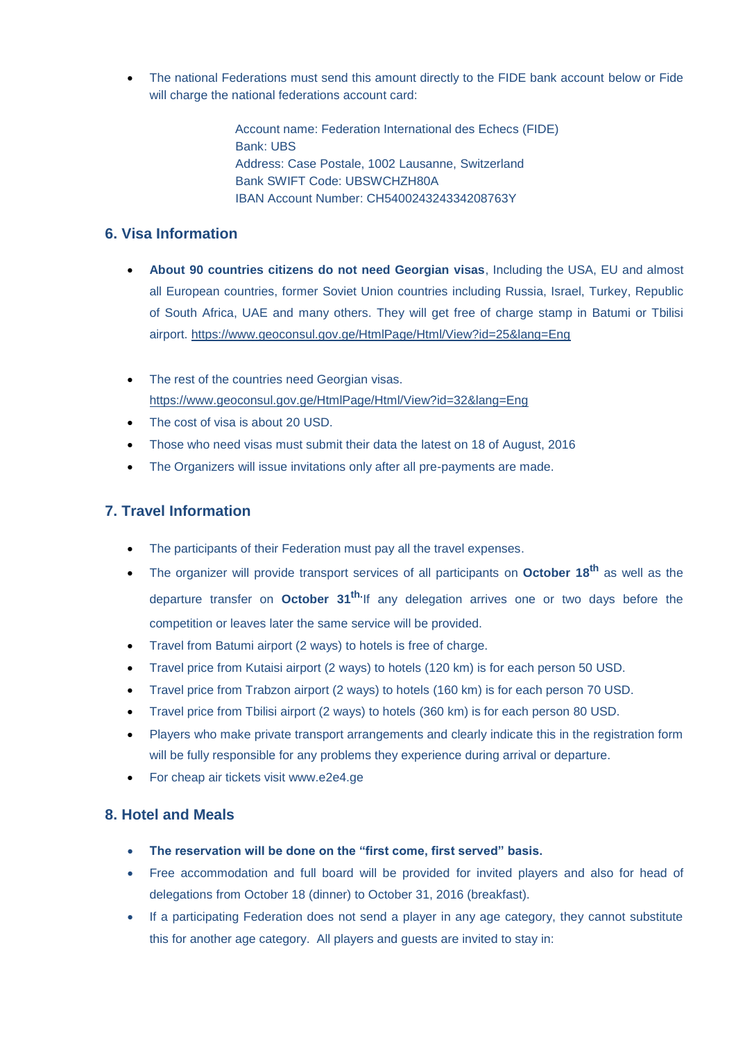The national Federations must send this amount directly to the FIDE bank account below or Fide will charge the national federations account card:

> Account name: Federation International des Echecs (FIDE) Bank: UBS Address: Case Postale, 1002 Lausanne, Switzerland Bank SWIFT Code: UBSWCHZH80A IBAN Account Number: CH540024324334208763Y

# **6. Visa Information**

- **About 90 countries citizens do not need Georgian visas**, Including the USA, EU and almost all European countries, former Soviet Union countries including Russia, Israel, Turkey, Republic of South Africa, UAE and many others. They will get free of charge stamp in Batumi or Tbilisi airport.<https://www.geoconsul.gov.ge/HtmlPage/Html/View?id=25&lang=Eng>
- The rest of the countries need Georgian visas. <https://www.geoconsul.gov.ge/HtmlPage/Html/View?id=32&lang=Eng>
- The cost of visa is about 20 USD.
- Those who need visas must submit their data the latest on 18 of August, 2016
- The Organizers will issue invitations only after all pre-payments are made.

# **7. Travel Information**

- The participants of their Federation must pay all the travel expenses.
- The organizer will provide transport services of all participants on **October 18th** as well as the departure transfer on **October 31th.**If any delegation arrives one or two days before the competition or leaves later the same service will be provided.
- Travel from Batumi airport (2 ways) to hotels is free of charge.
- Travel price from Kutaisi airport (2 ways) to hotels (120 km) is for each person 50 USD.
- Travel price from Trabzon airport (2 ways) to hotels (160 km) is for each person 70 USD.
- Travel price from Tbilisi airport (2 ways) to hotels (360 km) is for each person 80 USD.
- Players who make private transport arrangements and clearly indicate this in the registration form will be fully responsible for any problems they experience during arrival or departure.
- For cheap air tickets visit www.e2e4.ge

#### **8. Hotel and Meals**

- **The reservation will be done on the "first come, first served" basis.**
- Free accommodation and full board will be provided for invited players and also for head of delegations from October 18 (dinner) to October 31, 2016 (breakfast).
- If a participating Federation does not send a player in any age category, they cannot substitute this for another age category. All players and guests are invited to stay in: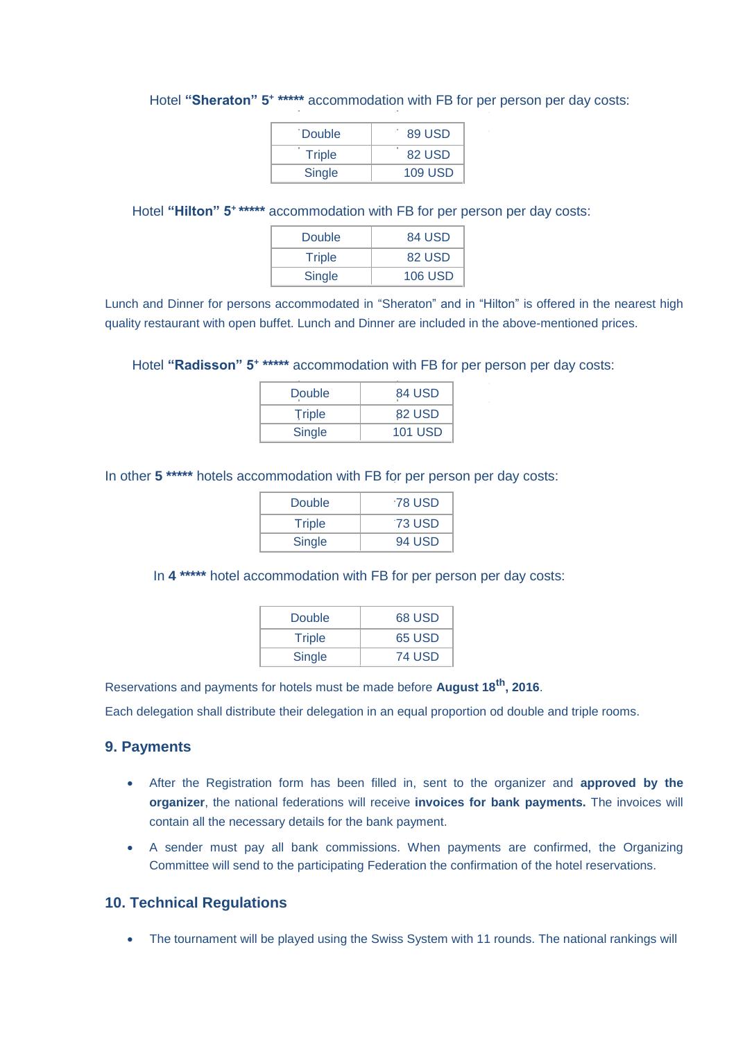| <b>Double</b> | 89 USD         |
|---------------|----------------|
| <b>Triple</b> | ×<br>82 USD    |
| Single        | <b>109 USD</b> |

#### Hotel "Sheraton" 5<sup>+</sup> \*\*\*\*\* accommodation with FB for per person per day costs:

Hotel **"Hilton" 5<sup>+</sup> \*\*\*\*\*** accommodation with FB for per person per day costs:

| Double        | 84 USD         |
|---------------|----------------|
| <b>Triple</b> | 82 USD         |
| Single        | <b>106 USD</b> |

Lunch and Dinner for persons accommodated in "Sheraton" and in "Hilton" is offered in the nearest high quality restaurant with open buffet. Lunch and Dinner are included in the above-mentioned prices.

Hotel **"Radisson" 5<sup>+</sup> \*\*\*\*\*** accommodation with FB for per person per day costs:

| Double        | 84 USD         |
|---------------|----------------|
| <b>Triple</b> | 82 USD         |
| <b>Single</b> | <b>101 USD</b> |

In other **5 \*\*\*\*\*** hotels accommodation with FB for per person per day costs:

| Double | <b>78 USD</b> |
|--------|---------------|
| Triple | <b>73 USD</b> |
| Single | 94 USD        |

In **4 \*\*\*\*\*** hotel accommodation with FB for per person per day costs:

| Double        | 68 USD        |
|---------------|---------------|
| <b>Triple</b> | 65 USD        |
| Single        | <b>74 USD</b> |

Reservations and payments for hotels must be made before **August 18th, 2016**.

Each delegation shall distribute their delegation in an equal proportion od double and triple rooms.

#### **9. Payments**

- After the Registration form has been filled in, sent to the organizer and **approved by the organizer**, the national federations will receive **invoices for bank payments.** The invoices will contain all the necessary details for the bank payment.
- A sender must pay all bank commissions. When payments are confirmed, the Organizing Committee will send to the participating Federation the confirmation of the hotel reservations.

#### **10. Technical Regulations**

• The tournament will be played using the Swiss System with 11 rounds. The national rankings will